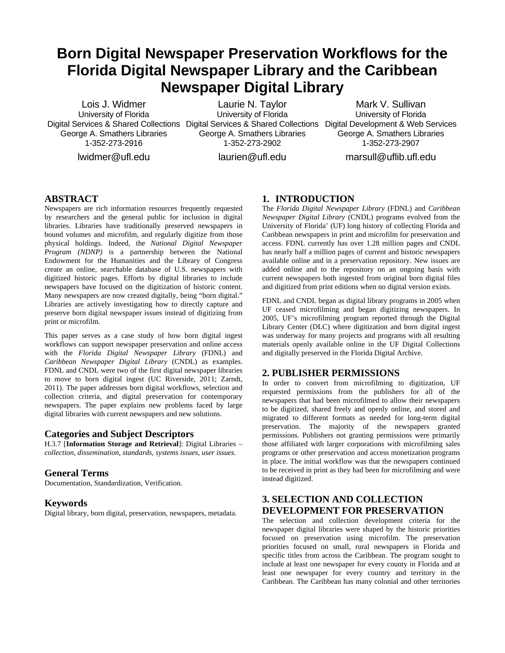# **Born Digital Newspaper Preservation Workflows for the Florida Digital Newspaper Library and the Caribbean Newspaper Digital Library**

Lois J. Widmer University of Florida George A. Smathers Libraries 1-352-273-2916 lwidmer@ufl.edu

Digital Services & Shared Collections Digital Services & Shared Collections Digital Development & Web Services Laurie N. Taylor University of Florida George A. Smathers Libraries 1-352-273-2902

Mark V. Sullivan University of Florida George A. Smathers Libraries 1-352-273-2907

marsull@uflib.ufl.edu

laurien@ufl.edu

### **ABSTRACT**

Newspapers are rich information resources frequently requested by researchers and the general public for inclusion in digital libraries. Libraries have traditionally preserved newspapers in bound volumes and microfilm, and regularly digitize from those physical holdings. Indeed, the *National Digital Newspaper Program (NDNP)* is a partnership between the National Endowment for the Humanities and the Library of Congress create an online, searchable database of U.S. newspapers with digitized historic pages. Efforts by digital libraries to include newspapers have focused on the digitization of historic content. Many newspapers are now created digitally, being "born digital." Libraries are actively investigating how to directly capture and preserve born digital newspaper issues instead of digitizing from print or microfilm.

This paper serves as a case study of how born digital ingest workflows can support newspaper preservation and online access with the *Florida Digital Newspaper Library* (FDNL) and *Caribbean Newspaper Digital Library* (CNDL) as examples. FDNL and CNDL were two of the first digital newspaper libraries to move to born digital ingest (UC Riverside, 2011; Zarndt, 2011). The paper addresses born digital workflows, selection and collection criteria, and digital preservation for contemporary newspapers. The paper explains new problems faced by large digital libraries with current newspapers and new solutions.

#### **Categories and Subject Descriptors**

H.3.7 [**Information Storage and Retrieval**]: Digital Libraries – *collection, dissemination, standards, systems issues, user issues.* 

#### **General Terms**

Documentation, Standardization, Verification.

#### **Keywords**

Digital library, born digital, preservation, newspapers, metadata.

## **1. INTRODUCTION**

The *Florida Digital Newspaper Library* (FDNL) and *Caribbean Newspaper Digital Library* (CNDL) programs evolved from the University of Florida' (UF) long history of collecting Florida and Caribbean newspapers in print and microfilm for preservation and access. FDNL currently has over 1.28 million pages and CNDL has nearly half a million pages of current and historic newspapers available online and in a preservation repository. New issues are added online and to the repository on an ongoing basis with current newspapers both ingested from original born digital files and digitized from print editions when no digital version exists.

FDNL and CNDL began as digital library programs in 2005 when UF ceased microfilming and began digitizing newspapers. In 2005, UF's microfilming program reported through the Digital Library Center (DLC) where digitization and born digital ingest was underway for many projects and programs with all resulting materials openly available online in the UF Digital Collections and digitally preserved in the Florida Digital Archive.

## **2. PUBLISHER PERMISSIONS**

In order to convert from microfilming to digitization, UF requested permissions from the publishers for all of the newspapers that had been microfilmed to allow their newspapers to be digitized, shared freely and openly online, and stored and migrated to different formats as needed for long-term digital preservation. The majority of the newspapers granted permissions. Publishers not granting permissions were primarily those affiliated with larger corporations with microfilming sales programs or other preservation and access monetization programs in place. The initial workflow was that the newspapers continued to be received in print as they had been for microfilming and were instead digitized.

# **3. SELECTION AND COLLECTION DEVELOPMENT FOR PRESERVATION**

The selection and collection development criteria for the newspaper digital libraries were shaped by the historic priorities focused on preservation using microfilm. The preservation priorities focused on small, rural newspapers in Florida and specific titles from across the Caribbean. The program sought to include at least one newspaper for every county in Florida and at least one newspaper for every country and territory in the Caribbean. The Caribbean has many colonial and other territories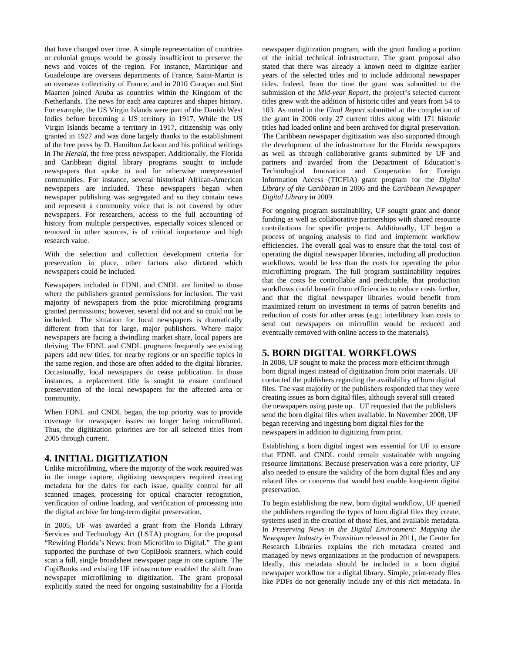that have changed over time. A simple representation of countries or colonial groups would be grossly insufficient to preserve the news and voices of the region. For instance, Martinique and Guadeloupe are overseas departments of France, Saint-Martin is an overseas collectivity of France, and in 2010 Curaçao and Sint Maarten joined Aruba as countries within the Kingdom of the Netherlands. The news for each area captures and shapes history. For example, the US Virgin Islands were part of the Danish West Indies before becoming a US territory in 1917. While the US Virgin Islands became a territory in 1917, citizenship was only granted in 1927 and was done largely thanks to the establishment of the free press by D. Hamilton Jackson and his political writings in *The Herald,* the free press newspaper. Additionally, the Florida and Caribbean digital library programs sought to include newspapers that spoke to and for otherwise unrepresented communities. For instance, several historical African-American newspapers are included. These newspapers began when newspaper publishing was segregated and so they contain news and represent a community voice that is not covered by other newspapers. For researchers, access to the full accounting of history from multiple perspectives, especially voices silenced or removed in other sources, is of critical importance and high research value.

With the selection and collection development criteria for preservation in place, other factors also dictated which newspapers could be included.

Newspapers included in FDNL and CNDL are limited to those where the publishers granted permissions for inclusion. The vast majority of newspapers from the prior microfilming programs granted permissions; however, several did not and so could not be included. The situation for local newspapers is dramatically different from that for large, major publishers. Where major newspapers are facing a dwindling market share, local papers are thriving. The FDNL and CNDL programs frequently see existing papers add new titles, for nearby regions or on specific topics in the same region, and those are often added to the digital libraries. Occasionally, local newspapers do cease publication. In those instances, a replacement title is sought to ensure continued preservation of the local newspapers for the affected area or community.

When FDNL and CNDL began, the top priority was to provide coverage for newspaper issues no longer being microfilmed. Thus, the digitization priorities are for all selected titles from 2005 through current.

## **4. INITIAL DIGITIZATION**

Unlike microfilming, where the majority of the work required was in the image capture, digitizing newspapers required creating metadata for the dates for each issue, quality control for all scanned images, processing for optical character recognition, verification of online loading, and verification of processing into the digital archive for long-term digital preservation.

In 2005, UF was awarded a grant from the Florida Library Services and Technology Act (LSTA) program, for the proposal "Rewiring Florida's News: from Microfilm to Digital." The grant supported the purchase of two CopiBook scanners, which could scan a full, single broadsheet newspaper page in one capture. The CopiBooks and existing UF infrastructure enabled the shift from newspaper microfilming to digitization. The grant proposal explicitly stated the need for ongoing sustainability for a Florida

newspaper digitization program, with the grant funding a portion of the initial technical infrastructure. The grant proposal also stated that there was already a known need to digitize earlier years of the selected titles and to include additional newspaper titles. Indeed, from the time the grant was submitted to the submission of the *Mid-year Report,* the project's selected current titles grew with the addition of historic titles and years from 54 to 103. As noted in the *Final Report* submitted at the completion of the grant in 2006 only 27 current titles along with 171 historic titles had loaded online and been archived for digital preservation. The Caribbean newspaper digitization was also supported through the development of the infrastructure for the Florida newspapers as well as through collaborative grants submitted by UF and partners and awarded from the Department of Education's Technological Innovation and Cooperation for Foreign Information Access (TICFIA) grant program for the *Digital Library of the Caribbean* in 2006 and the *Caribbean Newspaper Digital Library* in 2009.

For ongoing program sustainability, UF sought grant and donor funding as well as collaborative partnerships with shared resource contributions for specific projects. Additionally, UF began a process of ongoing analysis to find and implement workflow efficiencies. The overall goal was to ensure that the total cost of operating the digital newspaper libraries, including all production workflows, would be less than the costs for operating the prior microfilming program. The full program sustainability requires that the costs be controllable and predictable, that production workflows could benefit from efficiencies to reduce costs further, and that the digital newspaper libraries would benefit from maximized return on investment in terms of patron benefits and reduction of costs for other areas (e.g.; interlibrary loan costs to send out newspapers on microfilm would be reduced and eventually removed with online access to the materials).

## **5. BORN DIGITAL WORKFLOWS**

In 2008, UF sought to make the process more efficient through born digital ingest instead of digitization from print materials. UF contacted the publishers regarding the availability of born digital files. The vast majority of the publishers responded that they were creating issues as born digital files, although several still created the newspapers using paste up. UF requested that the publishers send the born digital files when available. In November 2008, UF began receiving and ingesting born digital files for the newspapers in addition to digitizing from print.

Establishing a born digital ingest was essential for UF to ensure that FDNL and CNDL could remain sustainable with ongoing resource limitations. Because preservation was a core priority, UF also needed to ensure the validity of the born digital files and any related files or concerns that would best enable long-term digital preservation.

To begin establishing the new, born digital workflow, UF queried the publishers regarding the types of born digital files they create, systems used in the creation of those files, and available metadata. In *Preserving News in the Digital Environment: Mapping the Newspaper Industry in Transition* released in 2011, the Center for Research Libraries explains the rich metadata created and managed by news organizations in the production of newspapers. Ideally, this metadata should be included in a born digital newspaper workflow for a digital library. Simple, print-ready files like PDFs do not generally include any of this rich metadata. In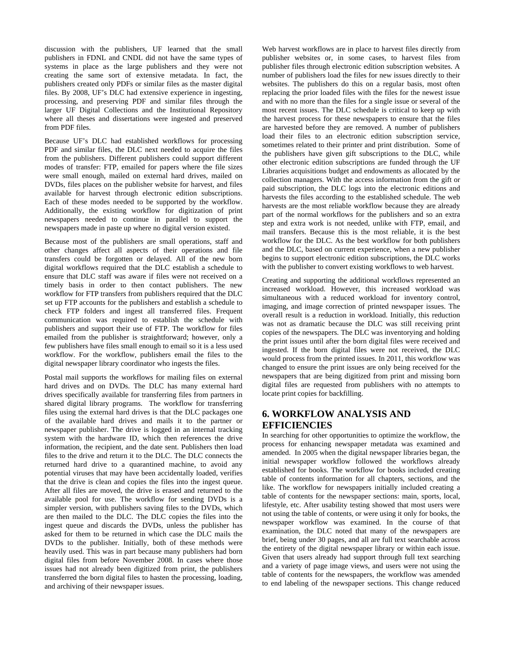discussion with the publishers, UF learned that the small publishers in FDNL and CNDL did not have the same types of systems in place as the large publishers and they were not creating the same sort of extensive metadata. In fact, the publishers created only PDFs or similar files as the master digital files. By 2008, UF's DLC had extensive experience in ingesting, processing, and preserving PDF and similar files through the larger UF Digital Collections and the Institutional Repository where all theses and dissertations were ingested and preserved from PDF files.

Because UF's DLC had established workflows for processing PDF and similar files, the DLC next needed to acquire the files from the publishers. Different publishers could support different modes of transfer: FTP, emailed for papers where the file sizes were small enough, mailed on external hard drives, mailed on DVDs, files places on the publisher website for harvest, and files available for harvest through electronic edition subscriptions. Each of these modes needed to be supported by the workflow. Additionally, the existing workflow for digitization of print newspapers needed to continue in parallel to support the newspapers made in paste up where no digital version existed.

Because most of the publishers are small operations, staff and other changes affect all aspects of their operations and file transfers could be forgotten or delayed. All of the new born digital workflows required that the DLC establish a schedule to ensure that DLC staff was aware if files were not received on a timely basis in order to then contact publishers. The new workflow for FTP transfers from publishers required that the DLC set up FTP accounts for the publishers and establish a schedule to check FTP folders and ingest all transferred files. Frequent communication was required to establish the schedule with publishers and support their use of FTP. The workflow for files emailed from the publisher is straightforward; however, only a few publishers have files small enough to email so it is a less used workflow. For the workflow, publishers email the files to the digital newspaper library coordinator who ingests the files.

Postal mail supports the workflows for mailing files on external hard drives and on DVDs. The DLC has many external hard drives specifically available for transferring files from partners in shared digital library programs. The workflow for transferring files using the external hard drives is that the DLC packages one of the available hard drives and mails it to the partner or newspaper publisher. The drive is logged in an internal tracking system with the hardware ID, which then references the drive information, the recipient, and the date sent. Publishers then load files to the drive and return it to the DLC. The DLC connects the returned hard drive to a quarantined machine, to avoid any potential viruses that may have been accidentally loaded, verifies that the drive is clean and copies the files into the ingest queue. After all files are moved, the drive is erased and returned to the available pool for use. The workflow for sending DVDs is a simpler version, with publishers saving files to the DVDs, which are then mailed to the DLC. The DLC copies the files into the ingest queue and discards the DVDs, unless the publisher has asked for them to be returned in which case the DLC mails the DVDs to the publisher. Initially, both of these methods were heavily used. This was in part because many publishers had born digital files from before November 2008. In cases where those issues had not already been digitized from print, the publishers transferred the born digital files to hasten the processing, loading, and archiving of their newspaper issues.

Web harvest workflows are in place to harvest files directly from publisher websites or, in some cases, to harvest files from publisher files through electronic edition subscription websites. A number of publishers load the files for new issues directly to their websites. The publishers do this on a regular basis, most often replacing the prior loaded files with the files for the newest issue and with no more than the files for a single issue or several of the most recent issues. The DLC schedule is critical to keep up with the harvest process for these newspapers to ensure that the files are harvested before they are removed. A number of publishers load their files to an electronic edition subscription service, sometimes related to their printer and print distribution. Some of the publishers have given gift subscriptions to the DLC, while other electronic edition subscriptions are funded through the UF Libraries acquisitions budget and endowments as allocated by the collection managers. With the access information from the gift or paid subscription, the DLC logs into the electronic editions and harvests the files according to the established schedule. The web harvests are the most reliable workflow because they are already part of the normal workflows for the publishers and so an extra step and extra work is not needed, unlike with FTP, email, and mail transfers. Because this is the most reliable, it is the best workflow for the DLC. As the best workflow for both publishers and the DLC, based on current experience, when a new publisher begins to support electronic edition subscriptions, the DLC works with the publisher to convert existing workflows to web harvest.

Creating and supporting the additional workflows represented an increased workload. However, this increased workload was simultaneous with a reduced workload for inventory control, imaging, and image correction of printed newspaper issues. The overall result is a reduction in workload. Initially, this reduction was not as dramatic because the DLC was still receiving print copies of the newspapers. The DLC was inventorying and holding the print issues until after the born digital files were received and ingested. If the born digital files were not received, the DLC would process from the printed issues. In 2011, this workflow was changed to ensure the print issues are only being received for the newspapers that are being digitized from print and missing born digital files are requested from publishers with no attempts to locate print copies for backfilling.

## **6. WORKFLOW ANALYSIS AND EFFICIENCIES**

In searching for other opportunities to optimize the workflow, the process for enhancing newspaper metadata was examined and amended. In 2005 when the digital newspaper libraries began, the initial newspaper workflow followed the workflows already established for books. The workflow for books included creating table of contents information for all chapters, sections, and the like. The workflow for newspapers initially included creating a table of contents for the newspaper sections: main, sports, local, lifestyle, etc. After usability testing showed that most users were not using the table of contents, or were using it only for books, the newspaper workflow was examined. In the course of that examination, the DLC noted that many of the newspapers are brief, being under 30 pages, and all are full text searchable across the entirety of the digital newspaper library or within each issue. Given that users already had support through full text searching and a variety of page image views, and users were not using the table of contents for the newspapers, the workflow was amended to end labeling of the newspaper sections. This change reduced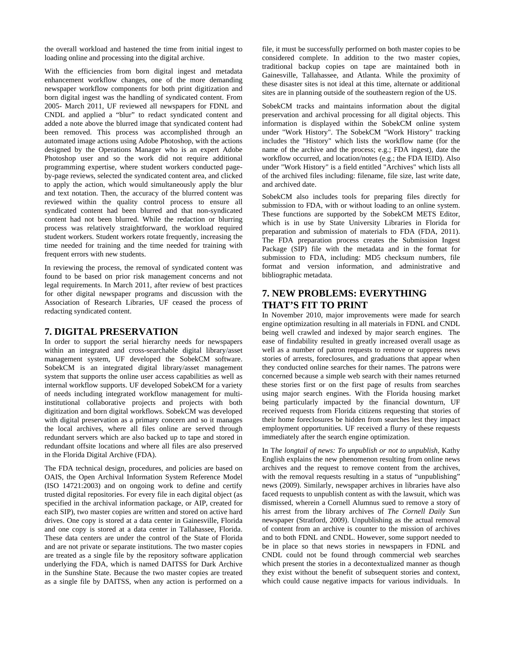the overall workload and hastened the time from initial ingest to loading online and processing into the digital archive.

With the efficiencies from born digital ingest and metadata enhancement workflow changes, one of the more demanding newspaper workflow components for both print digitization and born digital ingest was the handling of syndicated content. From 2005- March 2011, UF reviewed all newspapers for FDNL and CNDL and applied a "blur" to redact syndicated content and added a note above the blurred image that syndicated content had been removed. This process was accomplished through an automated image actions using Adobe Photoshop, with the actions designed by the Operations Manager who is an expert Adobe Photoshop user and so the work did not require additional programming expertise, where student workers conducted pageby-page reviews, selected the syndicated content area, and clicked to apply the action, which would simultaneously apply the blur and text notation. Then, the accuracy of the blurred content was reviewed within the quality control process to ensure all syndicated content had been blurred and that non-syndicated content had not been blurred. While the redaction or blurring process was relatively straightforward, the workload required student workers. Student workers rotate frequently, increasing the time needed for training and the time needed for training with frequent errors with new students.

In reviewing the process, the removal of syndicated content was found to be based on prior risk management concerns and not legal requirements. In March 2011, after review of best practices for other digital newspaper programs and discussion with the Association of Research Libraries, UF ceased the process of redacting syndicated content.

#### **7. DIGITAL PRESERVATION**

In order to support the serial hierarchy needs for newspapers within an integrated and cross-searchable digital library/asset management system, UF developed the SobekCM software. SobekCM is an integrated digital library/asset management system that supports the online user access capabilities as well as internal workflow supports. UF developed SobekCM for a variety of needs including integrated workflow management for multiinstitutional collaborative projects and projects with both digitization and born digital workflows. SobekCM was developed with digital preservation as a primary concern and so it manages the local archives, where all files online are served through redundant servers which are also backed up to tape and stored in redundant offsite locations and where all files are also preserved in the Florida Digital Archive (FDA).

The FDA technical design, procedures, and policies are based on OAIS, the Open Archival Information System Reference Model (ISO 14721:2003) and on ongoing work to define and certify trusted digital repositories. For every file in each digital object (as specified in the archival information package, or AIP, created for each SIP), two master copies are written and stored on active hard drives. One copy is stored at a data center in Gainesville, Florida and one copy is stored at a data center in Tallahassee, Florida. These data centers are under the control of the State of Florida and are not private or separate institutions. The two master copies are treated as a single file by the repository software application underlying the FDA, which is named DAITSS for Dark Archive in the Sunshine State. Because the two master copies are treated as a single file by DAITSS, when any action is performed on a

file, it must be successfully performed on both master copies to be considered complete. In addition to the two master copies, traditional backup copies on tape are maintained both in Gainesville, Tallahassee, and Atlanta. While the proximity of these disaster sites is not ideal at this time, alternate or additional sites are in planning outside of the southeastern region of the US.

SobekCM tracks and maintains information about the digital preservation and archival processing for all digital objects. This information is displayed within the SobekCM online system under "Work History". The SobekCM "Work History" tracking includes the "History" which lists the workflow name (for the name of the archive and the process; e.g.; FDA ingest), date the workflow occurred, and location/notes (e.g.; the FDA IEID). Also under "Work History" is a field entitled "Archives" which lists all of the archived files including: filename, file size, last write date, and archived date.

SobekCM also includes tools for preparing files directly for submission to FDA, with or without loading to an online system. These functions are supported by the SobekCM METS Editor, which is in use by State University Libraries in Florida for preparation and submission of materials to FDA (FDA, 2011). The FDA preparation process creates the Submission Ingest Package (SIP) file with the metadata and in the format for submission to FDA, including: MD5 checksum numbers, file format and version information, and administrative and bibliographic metadata.

## **7. NEW PROBLEMS: EVERYTHING THAT'S FIT TO PRINT**

In November 2010, major improvements were made for search engine optimization resulting in all materials in FDNL and CNDL being well crawled and indexed by major search engines. The ease of findability resulted in greatly increased overall usage as well as a number of patron requests to remove or suppress news stories of arrests, foreclosures, and graduations that appear when they conducted online searches for their names. The patrons were concerned because a simple web search with their names returned these stories first or on the first page of results from searches using major search engines. With the Florida housing market being particularly impacted by the financial downturn, UF received requests from Florida citizens requesting that stories of their home foreclosures be hidden from searches lest they impact employment opportunities. UF received a flurry of these requests immediately after the search engine optimization.

In T*he longtail of news: To unpublish or not to unpublish,* Kathy English explains the new phenomenon resulting from online news archives and the request to remove content from the archives, with the removal requests resulting in a status of "unpublishing" news (2009). Similarly, newspaper archives in libraries have also faced requests to unpublish content as with the lawsuit, which was dismissed, wherein a Cornell Alumnus sued to remove a story of his arrest from the library archives of *The Cornell Daily Sun* newspaper (Stratford, 2009). Unpublishing as the actual removal of content from an archive is counter to the mission of archives and to both FDNL and CNDL. However, some support needed to be in place so that news stories in newspapers in FDNL and CNDL could not be found through commercial web searches which present the stories in a decontextualized manner as though they exist without the benefit of subsequent stories and context, which could cause negative impacts for various individuals. In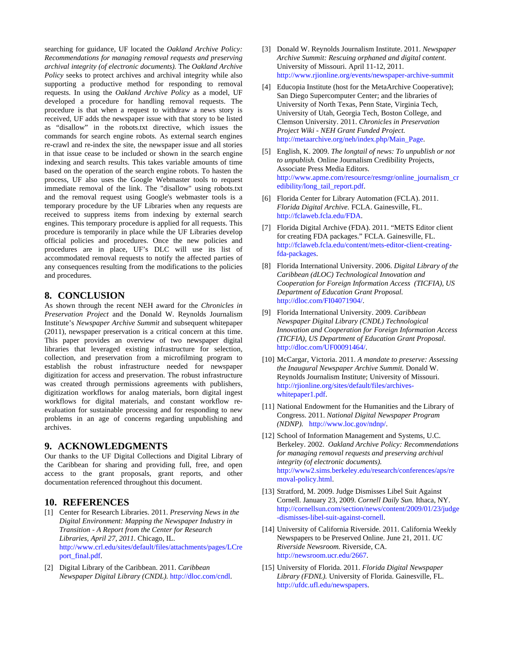searching for guidance, UF located the *Oakland Archive Policy: Recommendations for managing removal requests and preserving archival integrity (of electronic documents).* The *Oakland Archive Policy* seeks to protect archives and archival integrity while also supporting a productive method for responding to removal requests. In using the *Oakland Archive Policy* as a model, UF developed a procedure for handling removal requests. The procedure is that when a request to withdraw a news story is received, UF adds the newspaper issue with that story to be listed as "disallow" in the robots.txt directive, which issues the commands for search engine robots. As external search engines re-crawl and re-index the site, the newspaper issue and all stories in that issue cease to be included or shown in the search engine indexing and search results. This takes variable amounts of time based on the operation of the search engine robots. To hasten the process, UF also uses the Google Webmaster tools to request immediate removal of the link. The "disallow" using robots.txt and the removal request using Google's webmaster tools is a temporary procedure by the UF Libraries when any requests are received to suppress items from indexing by external search engines. This temporary procedure is applied for all requests. This procedure is temporarily in place while the UF Libraries develop official policies and procedures. Once the new policies and procedures are in place, UF's DLC will use its list of accommodated removal requests to notify the affected parties of any consequences resulting from the modifications to the policies and procedures.

### **8. CONCLUSION**

As shown through the recent NEH award for the *Chronicles in Preservation Project* and the Donald W. Reynolds Journalism Institute's *Newspaper Archive Summit* and subsequent whitepaper (2011), newspaper preservation is a critical concern at this time. This paper provides an overview of two newspaper digital libraries that leveraged existing infrastructure for selection, collection, and preservation from a microfilming program to establish the robust infrastructure needed for newspaper digitization for access and preservation. The robust infrastructure was created through permissions agreements with publishers, digitization workflows for analog materials, born digital ingest workflows for digital materials, and constant workflow reevaluation for sustainable processing and for responding to new problems in an age of concerns regarding unpublishing and archives.

#### **9. ACKNOWLEDGMENTS**

Our thanks to the UF Digital Collections and Digital Library of the Caribbean for sharing and providing full, free, and open access to the grant proposals, grant reports, and other documentation referenced throughout this document.

#### **10. REFERENCES**

- [1] Center for Research Libraries. 2011. *Preserving News in the Digital Environment: Mapping the Newspaper Industry in Transition - A Report from the Center for Research Libraries, April 27, 2011.* Chicago, IL. http://www.crl.edu/sites/default/files/attachments/pages/LCre port\_final.pdf.
- [2] Digital Library of the Caribbean. 2011. *Caribbean Newspaper Digital Library (CNDL).* http://dloc.com/cndl.
- [3] Donald W. Reynolds Journalism Institute. 2011. *Newspaper Archive Summit: Rescuing orphaned and digital content*. University of Missouri. April 11-12, 2011. http://www.rjionline.org/events/newspaper-archive-summit
- [4] Educopia Institute (host for the MetaArchive Cooperative); San Diego Supercomputer Center; and the libraries of University of North Texas, Penn State, Virginia Tech, University of Utah, Georgia Tech, Boston College, and Clemson University. 2011. *Chronicles in Preservation Project Wiki - NEH Grant Funded Project.*  http://metaarchive.org/neh/index.php/Main\_Page.
- [5] English, K. 2009. *The longtail of news: To unpublish or not to unpublish.* Online Journalism Credibility Projects, Associate Press Media Editors. http://www.apme.com/resource/resmgr/online\_journalism\_cr edibility/long\_tail\_report.pdf.
- [6] Florida Center for Library Automation (FCLA). 2011. *Florida Digital Archive.* FCLA. Gainesville, FL. http://fclaweb.fcla.edu/FDA.
- [7] Florida Digital Archive (FDA). 2011. "METS Editor client for creating FDA packages." FCLA. Gainesville, FL. http://fclaweb.fcla.edu/content/mets-editor-client-creatingfda-packages.
- [8] Florida International University. 2006. *Digital Library of the Caribbean (dLOC) Technological Innovation and Cooperation for Foreign Information Access (TICFIA), US Department of Education Grant Proposal.*  http://dloc.com/FI04071904/.
- [9] Florida International University. 2009. *Caribbean Newspaper Digital Library (CNDL) Technological Innovation and Cooperation for Foreign Information Access (TICFIA), US Department of Education Grant Proposal*. http://dloc.com/UF00091464/.
- [10] McCargar, Victoria. 2011. *A mandate to preserve: Assessing the Inaugural Newspaper Archive Summit.* Donald W. Reynolds Journalism Institute; University of Missouri. http://rjionline.org/sites/default/files/archiveswhitepaper1.pdf.
- [11] National Endowment for the Humanities and the Library of Congress. 2011. *National Digital Newspaper Program (NDNP).* http://www.loc.gov/ndnp/.
- [12] School of Information Management and Systems, U.C. Berkeley. 2002. *Oakland Archive Policy: Recommendations for managing removal requests and preserving archival integrity (of electronic documents).* http://www2.sims.berkeley.edu/research/conferences/aps/re moval-policy.html.
- [13] Stratford, M. 2009. Judge Dismisses Libel Suit Against Cornell. January 23, 2009. *Cornell Daily Sun.* Ithaca, NY. http://cornellsun.com/section/news/content/2009/01/23/judge -dismisses-libel-suit-against-cornell.
- [14] University of California Riverside. 2011. California Weekly Newspapers to be Preserved Online. June 21, 2011. *UC Riverside Newsroom.* Riverside, CA. http://newsroom.ucr.edu/2667.
- [15] University of Florida. 2011. *Florida Digital Newspaper Library (FDNL).* University of Florida. Gainesville, FL. http://ufdc.ufl.edu/newspapers.